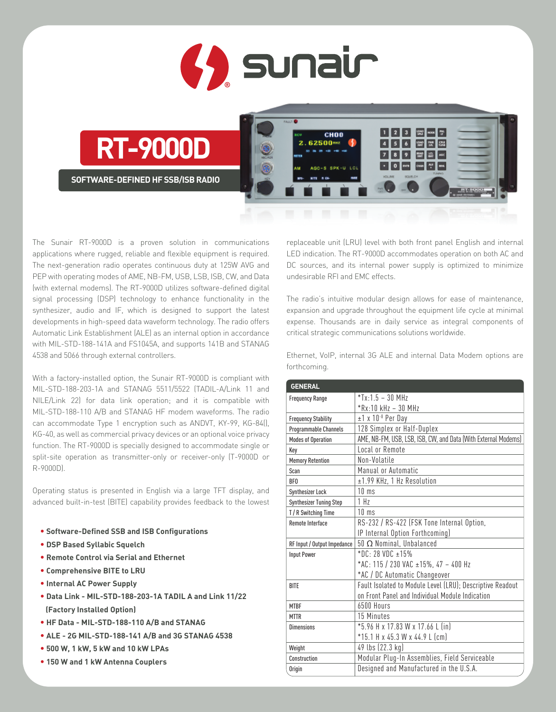

**RT-9000D**

**SOFTWARE-DEFINED HF SSB/ISB RADIO**



The Sunair RT-9000D is a proven solution in communications applications where rugged, reliable and flexible equipment is required. The next-generation radio operates continuous duty at 125W AVG and PEP with operating modes of AME, NB-FM, USB, LSB, ISB, CW, and Data (with external modems). The RT-9000D utilizes software-defined digital signal processing (DSP) technology to enhance functionality in the synthesizer, audio and IF, which is designed to support the latest developments in high-speed data waveform technology. The radio offers Automatic Link Establishment (ALE) as an internal option in accordance with MIL-STD-188-141A and FS1045A, and supports 141B and STANAG 4538 and 5066 through external controllers.

With a factory-installed option, the Sunair RT-9000D is compliant with MIL-STD-188-203-1A and STANAG 5511/5522 (TADIL-A/Link 11 and NILE/Link 22) for data link operation; and it is compatible with MIL-STD-188-110 A/B and STANAG HF modem waveforms. The radio can accommodate Type 1 encryption such as ANDVT, KY-99, KG-84(), KG-40, as well as commercial privacy devices or an optional voice privacy function. The RT-9000D is specially designed to accommodate single or split-site operation as transmitter-only or receiver-only (T-9000D or R-9000D).

Operating status is presented in English via a large TFT display, and advanced built-in-test (BITE) capability provides feedback to the lowest

- **• Software-Defined SSB and ISB Configurations**
- **• DSP Based Syllabic Squelch**
- **• Remote Control via Serial and Ethernet**
- **• Comprehensive BITE to LRU**
- **• Internal AC Power Supply**
- **• Data Link MIL-STD-188-203-1A TADIL A and Link 11/22 (Factory Installed Option)**
- **• HF Data MIL-STD-188-110 A/B and STANAG**
- **• ALE 2G MIL-STD-188-141 A/B and 3G STANAG 4538**
- **• 500 W, 1 kW, 5 kW and 10 kW LPAs**
- **• 150 W and 1 kW Antenna Couplers**

replaceable unit (LRU) level with both front panel English and internal LED indication. The RT-9000D accommodates operation on both AC and DC sources, and its internal power supply is optimized to minimize undesirable RFI and EMC effects.

The radio's intuitive modular design allows for ease of maintenance, expansion and upgrade throughout the equipment life cycle at minimal expense. Thousands are in daily service as integral components of critical strategic communications solutions worldwide.

Ethernet, VoIP, internal 3G ALE and internal Data Modem options are forthcoming.

| <b>GENERAL</b>                 |                                                                |
|--------------------------------|----------------------------------------------------------------|
| <b>Frequency Range</b>         | $*Tx.15 - 30 MHz$                                              |
|                                | $*Rx:10 kHz - 30 MHz$                                          |
| <b>Frequency Stability</b>     | $±1$ x 10 $-8$ Per Day                                         |
| Programmable Channels          | 128 Simplex or Half-Duplex                                     |
| <b>Modes of Operation</b>      | AME, NB-FM, USB, LSB, ISB, CW, and Data (With External Modems) |
| Key                            | Local or Remote                                                |
| <b>Memory Retention</b>        | Non-Volatile                                                   |
| Scan                           | Manual or Automatic                                            |
| <b>BFO</b>                     | ±1.99 KHz, 1 Hz Resolution                                     |
| Synthesizer Lock               | $10 \text{ ms}$                                                |
| <b>Synthesizer Tuning Step</b> | 1 <sub>H<sub>7</sub></sub>                                     |
| T / R Switching Time           | $10 \text{ ms}$                                                |
| <b>Remote Interface</b>        | RS-232 / RS-422 (FSK Tone Internal Option,                     |
|                                | IP Internal Option Forthcoming)                                |
| RF Input / Output Impedance    | $50 \Omega$ Nominal, Unbalanced                                |
| <b>Input Power</b>             | $*$ DC: 28 VDC $\pm$ 15%                                       |
|                                | *AC: 115 / 230 VAC ±15%, 47 - 400 Hz                           |
|                                | *AC / DC Automatic Changeover                                  |
| <b>BITE</b>                    | Fault Isolated to Module Level (LRU); Descriptive Readout      |
|                                | on Front Panel and Individual Module Indication                |
| <b>MTBF</b>                    | 6500 Hours                                                     |
| <b>MTTR</b>                    | 15 Minutes                                                     |
| <b>Dimensions</b>              | *5.96 H x 17.83 W x 17.66 L (in)                               |
|                                | *15.1 H x 45.3 W x 44.9 L (cm)                                 |
| Weight                         | 49 lbs (22.3 kg)                                               |
| Construction                   | Modular Plug-In Assemblies, Field Serviceable                  |
| Origin                         | Designed and Manufactured in the U.S.A.                        |